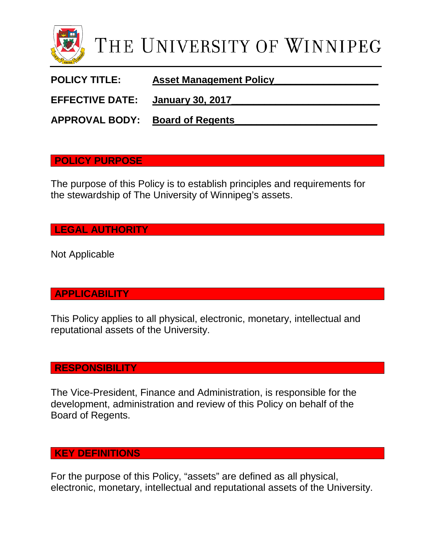

POLICY TITLE: **Asset Management Policy** 

**EFFECTIVE DATE: January 30, 2017\_\_\_\_\_\_\_\_\_\_\_\_\_\_\_\_\_\_\_\_\_\_\_\_\_\_\_**

**APPROVAL BODY: Board of Regents\_\_\_\_\_\_\_\_\_\_\_\_\_\_\_\_\_\_\_\_\_\_\_\_\_\_**

#### **POLICY PURPOSE**

The purpose of this Policy is to establish principles and requirements for the stewardship of The University of Winnipeg's assets.

## **LEGAL AUTHORITY**

Not Applicable

## **APPLICABILITY**

This Policy applies to all physical, electronic, monetary, intellectual and reputational assets of the University.

## **RESPONSIBILITY**

The Vice-President, Finance and Administration, is responsible for the development, administration and review of this Policy on behalf of the Board of Regents.

#### **KEY DEFINITIONS**

For the purpose of this Policy, "assets" are defined as all physical, electronic, monetary, intellectual and reputational assets of the University.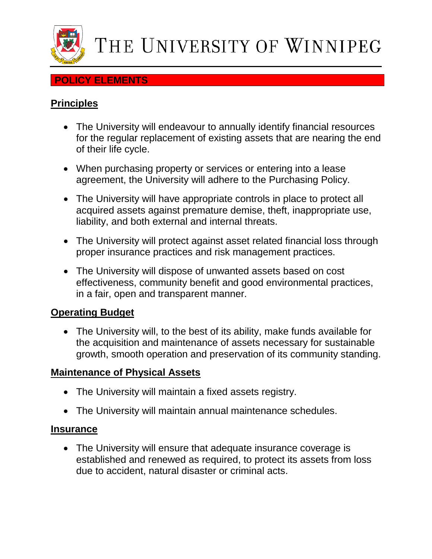

#### **POLICY ELEMENTS**

# **Principles**

- The University will endeavour to annually identify financial resources for the regular replacement of existing assets that are nearing the end of their life cycle.
- When purchasing property or services or entering into a lease agreement, the University will adhere to the Purchasing Policy.
- The University will have appropriate controls in place to protect all acquired assets against premature demise, theft, inappropriate use, liability, and both external and internal threats.
- The University will protect against asset related financial loss through proper insurance practices and risk management practices.
- The University will dispose of unwanted assets based on cost effectiveness, community benefit and good environmental practices, in a fair, open and transparent manner.

## **Operating Budget**

• The University will, to the best of its ability, make funds available for the acquisition and maintenance of assets necessary for sustainable growth, smooth operation and preservation of its community standing.

## **Maintenance of Physical Assets**

- The University will maintain a fixed assets registry.
- The University will maintain annual maintenance schedules.

#### **Insurance**

• The University will ensure that adequate insurance coverage is established and renewed as required, to protect its assets from loss due to accident, natural disaster or criminal acts.